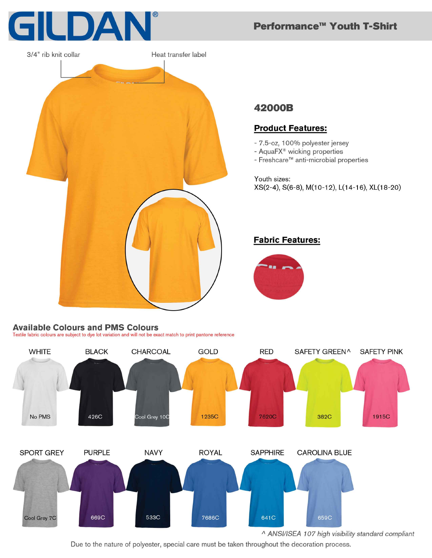

3/4" rib knit collar Heat transfer label

#### **Available Colours and PMS Colours**

Textile fabric colours are subject to dye lot variation and will not be exact match to print pantone reference



Due to the nature of polyester, special care must be taken throughout the decoration process.

# Performance<sup>™</sup> Youth T-Shirt

## 42000B

### **Product Features:**

- 7.5-oz, 100% polyester jersey
- AquaFX<sup>®</sup> wicking properties
- Freshcare<sup>™</sup> anti-microbial properties

Youth sizes: XS(2-4), S(6-8), M(10-12), L(14-16), XL(18-20)

#### **Fabric Features:**